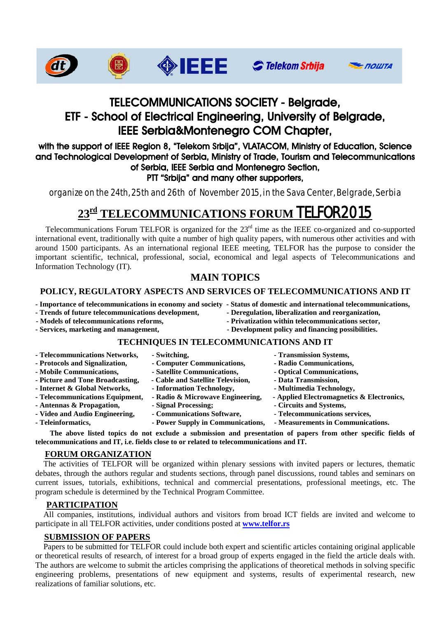







## TELECOMMUNICATIONS SOCIETY - Belgrade, ETF School of Electrical Engineering, University of Belgrade, IEEE Serbia&Montenegro COM Chapter,

#### with the support of IEEE Region 8, "Telekom Srbija", VLATACOM, Ministry of Education, Science and Technological Development of Serbia, Ministry of Trade, Tourism and Telecommunications of Serbia, IEEE Serbia and Montenegro Section, PTT "Srbija" and many other supporters,

organize on the 24th, 25th and 26th of November 2015, in the Sava Center, Belgrade, Serbia

# **23rd TELECOMMUNICATIONS FORUM** TELFOR2015

Telecommunications Forum TELFOR is organized for the 23<sup>rd</sup> time as the IEEE co-organized and co-supported international event, traditionally with quite a number of high quality papers, with numerous other activities and with around 1500 participants. As an international regional IEEE meeting, TELFOR has the purpose to consider the important scientific, technical, professional, social, economical and legal aspects of Telecommunications and Information Technology (IT).

## **MAIN TOPICS**

### **POLICY, REGULATORY ASPECTS AND SERVICES OF TELECOMMUNICATIONS AND IT**

- **- Importance of telecommunications in economy and society Status of domestic and international telecommunications,**
- **- Trends of future telecommunications development, - Deregulation, liberalization and reorganization,**
- 
- 
- 
- **- Models of telecommunications reforms, - Privatization within telecommunications sector,**
- Services, marketing and management, **- Development policy and financing possibilities.**

#### **TECHNIQUES IN TELECOMMUNICATIONS AND IT**

| - Switching,                      | - Transmission Systems,                   |
|-----------------------------------|-------------------------------------------|
| - Computer Communications,        | - Radio Communications,                   |
| - Satellite Communications,       | - Optical Communications,                 |
| - Cable and Satellite Television, | - Data Transmission,                      |
| - Information Technology,         | - Multimedia Technology,                  |
| - Radio & Microwave Engineering,  | - Applied Electromagnetics & Electronics, |
| - Signal Processing;              | - Circuits and Systems,                   |
| - Communications Software,        | - Telecommunications services,            |
| - Power Supply in Communications, | - Measurements in Communications.         |
|                                   |                                           |

**The above listed topics do not exclude a submission and presentation of papers from other specific fields of telecommunications and IT, i.e. fields close to or related to telecommunications and IT.** 

#### **FORUM ORGANIZATION**

 The activities of TELFOR will be organized within plenary sessions with invited papers or lectures, thematic debates, through the authors regular and students sections, through panel discussions, round tables and seminars on current issues, tutorials, exhibitions, technical and commercial presentations, professional meetings, etc. The program schedule is determined by the Technical Program Committee.

#### **PARTICIPATION**

**ž**

 All companies, institutions, individual authors and visitors from broad ICT fields are invited and welcome to participate in all TELFOR activities, under conditions posted at **[www.telfor.rs](http://www.telfor.rs/)** 

## **SUBMISSION OF PAPERS**

 Papers to be submitted for TELFOR could include both expert and scientific articles containing original applicable or theoretical results of research, of interest for a broad group of experts engaged in the field the article deals with. The authors are welcome to submit the articles comprising the applications of theoretical methods in solving specific engineering problems, presentations of new equipment and systems, results of experimental research, new realizations of familiar solutions, etc.